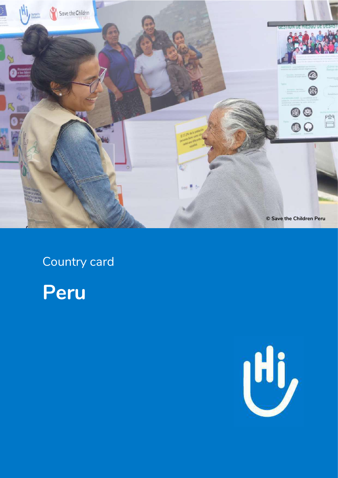

Country card



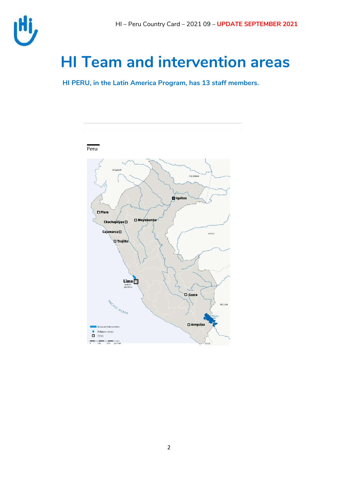

## **HI Team and intervention areas**

**HI PERU, in the Latin America Program, has 13 staff members.**

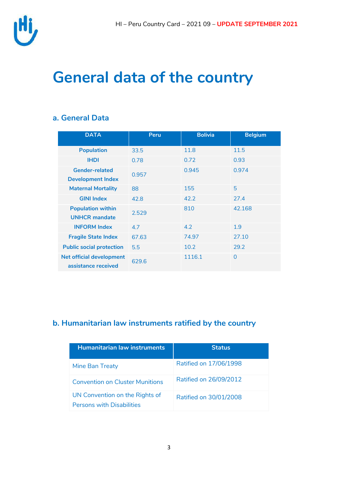

## **General data of the country**

### **a. General Data**

| <b>DATA</b>                                            | <b>Peru</b> | <b>Bolivia</b> | <b>Belgium</b> |
|--------------------------------------------------------|-------------|----------------|----------------|
| <b>Population</b>                                      | 33.5        | 11.8           | 11.5           |
| <b>IHDI</b>                                            | 0.78        | 0.72           | 0.93           |
| <b>Gender-related</b><br><b>Development Index</b>      | 0.957       | 0.945          | 0.974          |
| <b>Maternal Mortality</b>                              | 88          | 155            | 5              |
| <b>GINI Index</b>                                      | 42.8        | 42.2           | 27.4           |
| <b>Population within</b><br><b>UNHCR</b> mandate       | 2.529       | 810            | 42.168         |
| <b>INFORM Index</b>                                    | 4.7         | 4.2            | 1.9            |
| <b>Fragile State Index</b>                             | 67.63       | 74.97          | 27.10          |
| <b>Public social protection</b>                        | 5.5         | 10.2           | 29.2           |
| <b>Net official development</b><br>assistance received | 629.6       | 1116.1         | $\Omega$       |

### **b. Humanitarian law instruments ratified by the country**

| <b>Humanitarian law instruments</b>                                | <b>Status</b>          |
|--------------------------------------------------------------------|------------------------|
| Mine Ban Treaty                                                    | Ratified on 17/06/1998 |
| <b>Convention on Cluster Munitions</b>                             | Ratified on 26/09/2012 |
| UN Convention on the Rights of<br><b>Persons with Disabilities</b> | Ratified on 30/01/2008 |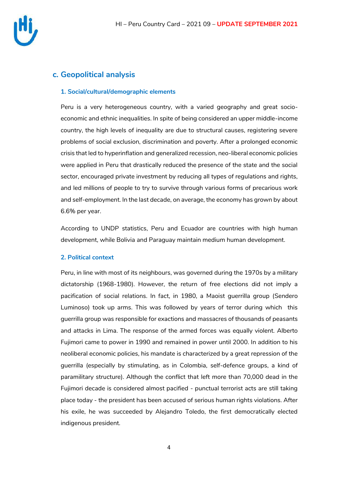

### **c. Geopolitical analysis**

#### **1. Social/cultural/demographic elements**

Peru is a very heterogeneous country, with a varied geography and great socioeconomic and ethnic inequalities. In spite of being considered an upper middle-income country, the high levels of inequality are due to structural causes, registering severe problems of social exclusion, discrimination and poverty. After a prolonged economic crisis that led to hyperinflation and generalized recession, neo-liberal economic policies were applied in Peru that drastically reduced the presence of the state and the social sector, encouraged private investment by reducing all types of regulations and rights, and led millions of people to try to survive through various forms of precarious work and self-employment. In the last decade, on average, the economy has grown by about 6.6% per year.

According to UNDP statistics, Peru and Ecuador are countries with high human development, while Bolivia and Paraguay maintain medium human development.

#### **2. Political context**

Peru, in line with most of its neighbours, was governed during the 1970s by a military dictatorship (1968-1980). However, the return of free elections did not imply a pacification of social relations. In fact, in 1980, a Maoist guerrilla group (Sendero Luminoso) took up arms. This was followed by years of terror during which this guerrilla group was responsible for exactions and massacres of thousands of peasants and attacks in Lima. The response of the armed forces was equally violent. Alberto Fujimori came to power in 1990 and remained in power until 2000. In addition to his neoliberal economic policies, his mandate is characterized by a great repression of the guerrilla (especially by stimulating, as in Colombia, self-defence groups, a kind of paramilitary structure). Although the conflict that left more than 70,000 dead in the Fujimori decade is considered almost pacified - punctual terrorist acts are still taking place today - the president has been accused of serious human rights violations. After his exile, he was succeeded by Alejandro Toledo, the first democratically elected indigenous president.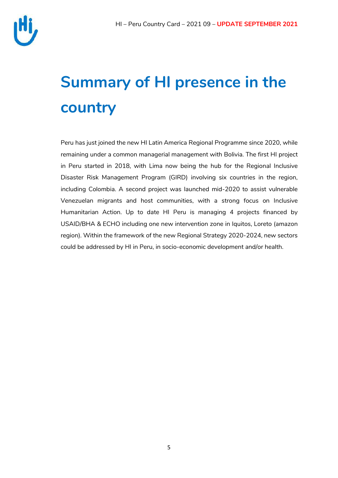

# **Summary of HI presence in the country**

Peru has just joined the new HI Latin America Regional Programme since 2020, while remaining under a common managerial management with Bolivia. The first HI project in Peru started in 2018, with Lima now being the hub for the Regional Inclusive Disaster Risk Management Program (GIRD) involving six countries in the region, including Colombia. A second project was launched mid-2020 to assist vulnerable Venezuelan migrants and host communities, with a strong focus on Inclusive Humanitarian Action. Up to date HI Peru is managing 4 projects financed by USAID/BHA & ECHO including one new intervention zone in Iquitos, Loreto (amazon region). Within the framework of the new Regional Strategy 2020-2024, new sectors could be addressed by HI in Peru, in socio-economic development and/or health.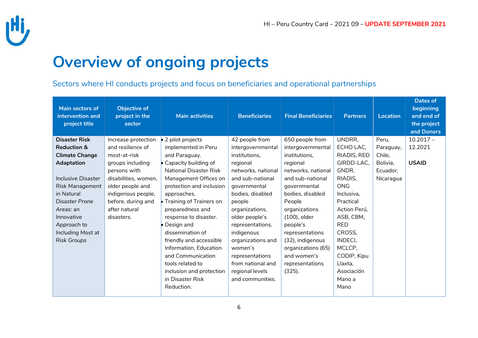

## **Overview of ongoing projects**

Sectors where HI conducts projects and focus on beneficiaries and operational partnerships

| Main sectors of<br>intervention and<br>project title | <b>Objective of</b><br>project in the<br>sector | <b>Main activities</b>         | <b>Beneficiaries</b> | <b>Final Beneficiaries</b> | <b>Partners</b> | <b>Location</b> | <b>Dates of</b><br>beginning<br>and end of<br>the project<br>and Donors |
|------------------------------------------------------|-------------------------------------------------|--------------------------------|----------------------|----------------------------|-----------------|-----------------|-------------------------------------------------------------------------|
| <b>Disaster Risk</b>                                 | Increase protection                             | $\bullet$ 2 pilot projects     | 42 people from       | 650 people from            | UNDRR,          | Peru,           | $10.2017 -$                                                             |
| <b>Reduction &amp;</b>                               | and resilience of                               | implemented in Peru            | intergovernmental    | intergovernmental          | ECHO LAC,       | Paraguay,       | 12.2021                                                                 |
| <b>Climate Change</b>                                | most-at-risk                                    | and Paraguay.                  | institutions,        | institutions,              | RIADIS, RED     | Chile,          |                                                                         |
| <b>Adaptation</b>                                    | groups including                                | $\bullet$ Capacity building of | regional             | regional                   | GIRDD-LAC,      | Bolivia,        | <b>USAID</b>                                                            |
|                                                      | persons with                                    | <b>National Disaster Risk</b>  | networks, national   | networks, national         | GNDR,           | Ecuador,        |                                                                         |
| Inclusive Disaster                                   | disabilities, women,                            | Management Offices on          | and sub-national     | and sub-national           | RIADIS,         | Nicaragua       |                                                                         |
| Risk Management                                      | older people and                                | protection and inclusion       | governmental         | governmental               | <b>ONG</b>      |                 |                                                                         |
| in Natural                                           | indigenous people,                              | approaches.                    | bodies, disabled     | bodies, disabled           | Inclusiva,      |                 |                                                                         |
| <b>Disaster Prone</b>                                | before, during and                              | Training of Trainers on        | people               | People                     | Practical       |                 |                                                                         |
| Areas: an                                            | after natural                                   | preparedness and               | organizations,       | organizations              | Action Perú,    |                 |                                                                         |
| Innovative                                           | disasters.                                      | response to disaster.          | older people's       | (100), older               | ASB, CBM,       |                 |                                                                         |
| Approach to                                          |                                                 | $\bullet$ Design and           | representations,     | people's                   | <b>RED</b>      |                 |                                                                         |
| Including Most at                                    |                                                 | dissemination of               | indigenous           | representations            | CROSS,          |                 |                                                                         |
| <b>Risk Groups</b>                                   |                                                 | friendly and accessible        | organizations and    | (32), indigenous           | <b>INDECI,</b>  |                 |                                                                         |
|                                                      |                                                 | Information, Education         | women's              | organizations (65)         | MCLCP,          |                 |                                                                         |
|                                                      |                                                 | and Communication              | representations      | and women's                | CODIP, Kipu     |                 |                                                                         |
|                                                      |                                                 | tools related to               | from national and    | representations            | Llaxta.         |                 |                                                                         |
|                                                      |                                                 | inclusion and protection       | regional levels      | (325).                     | Asociación      |                 |                                                                         |
|                                                      |                                                 | in Disaster Risk               | and communities.     |                            | Mano a          |                 |                                                                         |
|                                                      |                                                 | Reduction.                     |                      |                            | Mano            |                 |                                                                         |
|                                                      |                                                 |                                |                      |                            |                 |                 |                                                                         |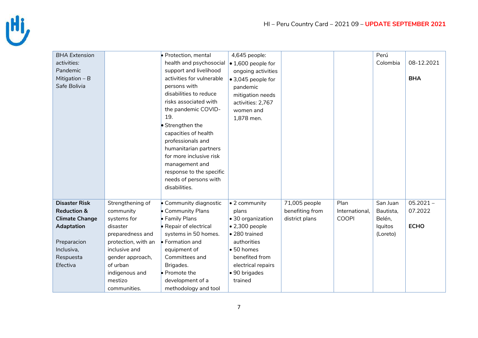

| <b>BHA Extension</b>   |                     | · Protection, mental      | 4,645 people:              |                 |                | Perú      |             |
|------------------------|---------------------|---------------------------|----------------------------|-----------------|----------------|-----------|-------------|
| activities:            |                     | health and psychosocial   | $\bullet$ 1,600 people for |                 |                | Colombia  | 08-12.2021  |
| Pandemic               |                     | support and livelihood    | ongoing activities         |                 |                |           |             |
| Mitigation $-B$        |                     | activities for vulnerable | ● 3,045 people for         |                 |                |           | <b>BHA</b>  |
| Safe Bolivia           |                     | persons with              | pandemic                   |                 |                |           |             |
|                        |                     | disabilities to reduce    | mitigation needs           |                 |                |           |             |
|                        |                     | risks associated with     | activities: 2,767          |                 |                |           |             |
|                        |                     | the pandemic COVID-       | women and                  |                 |                |           |             |
|                        |                     | 19.                       | 1,878 men.                 |                 |                |           |             |
|                        |                     | Strengthen the            |                            |                 |                |           |             |
|                        |                     | capacities of health      |                            |                 |                |           |             |
|                        |                     | professionals and         |                            |                 |                |           |             |
|                        |                     | humanitarian partners     |                            |                 |                |           |             |
|                        |                     | for more inclusive risk   |                            |                 |                |           |             |
|                        |                     | management and            |                            |                 |                |           |             |
|                        |                     | response to the specific  |                            |                 |                |           |             |
|                        |                     | needs of persons with     |                            |                 |                |           |             |
|                        |                     | disabilities.             |                            |                 |                |           |             |
|                        |                     |                           |                            |                 |                |           |             |
| <b>Disaster Risk</b>   | Strengthening of    | • Community diagnostic    | • 2 community              | 71,005 people   | Plan           | San Juan  | $05.2021 -$ |
| <b>Reduction &amp;</b> | community           | • Community Plans         | plans                      | benefiting from | International, | Bautista, | 07.2022     |
| <b>Climate Change</b>  | systems for         | • Family Plans            | • 30 organization          | district plans  | <b>COOPI</b>   | Belén,    |             |
| <b>Adaptation</b>      | disaster            | • Repair of electrical    | $\bullet$ 2,300 people     |                 |                | lquitos   | <b>ECHO</b> |
|                        | preparedness and    | systems in 50 homes.      | • 280 trained              |                 |                | (Loreto)  |             |
| Preparacion            | protection, with an | $\bullet$ Formation and   | authorities                |                 |                |           |             |
| Inclusiva,             | inclusive and       | equipment of              | • 50 homes                 |                 |                |           |             |
| Respuesta              | gender approach,    | Committees and            | benefited from             |                 |                |           |             |
| Efectiva               | of urban            | Brigades.                 | electrical repairs         |                 |                |           |             |
|                        | indigenous and      | • Promote the             | · 90 brigades              |                 |                |           |             |
|                        | mestizo             | development of a          | trained                    |                 |                |           |             |
|                        | communities.        | methodology and tool      |                            |                 |                |           |             |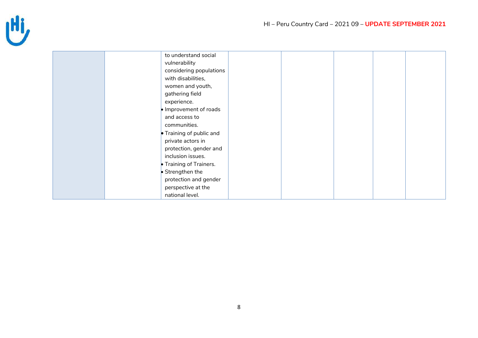

| to understand social     |  |
|--------------------------|--|
| vulnerability            |  |
| considering populations  |  |
| with disabilities,       |  |
| women and youth,         |  |
| gathering field          |  |
| experience.              |  |
| Improvement of roads     |  |
| and access to            |  |
| communities.             |  |
| • Training of public and |  |
| private actors in        |  |
| protection, gender and   |  |
| inclusion issues.        |  |
| • Training of Trainers.  |  |
| • Strengthen the         |  |
| protection and gender    |  |
| perspective at the       |  |
| national level.          |  |
|                          |  |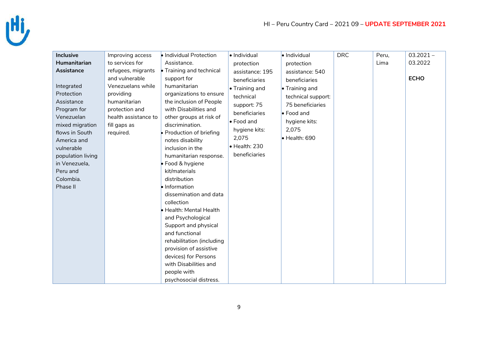

| <b>Inclusive</b>                                                                                                                                                                                                 | Improving access                                                                                                                        | · Individual Protection                                                                                                                                                                                                                                                                                                                                                                                                                                                                                                                                                                                     | · Individual                                                                                                                                           | · Individual                                                                                                                               | <b>DRC</b> | Peru, | $03.2021 -$ |
|------------------------------------------------------------------------------------------------------------------------------------------------------------------------------------------------------------------|-----------------------------------------------------------------------------------------------------------------------------------------|-------------------------------------------------------------------------------------------------------------------------------------------------------------------------------------------------------------------------------------------------------------------------------------------------------------------------------------------------------------------------------------------------------------------------------------------------------------------------------------------------------------------------------------------------------------------------------------------------------------|--------------------------------------------------------------------------------------------------------------------------------------------------------|--------------------------------------------------------------------------------------------------------------------------------------------|------------|-------|-------------|
| <b>Humanitarian</b>                                                                                                                                                                                              | to services for                                                                                                                         | Assistance.                                                                                                                                                                                                                                                                                                                                                                                                                                                                                                                                                                                                 | protection                                                                                                                                             | protection                                                                                                                                 |            | Lima  | 03.2022     |
| Assistance                                                                                                                                                                                                       | refugees, migrants                                                                                                                      | • Training and technical                                                                                                                                                                                                                                                                                                                                                                                                                                                                                                                                                                                    | assistance: 195                                                                                                                                        | assistance: 540                                                                                                                            |            |       |             |
| Integrated<br>Protection<br>Assistance<br>Program for<br>Venezuelan<br>mixed migration<br>flows in South<br>America and<br>vulnerable<br>population living<br>in Venezuela,<br>Peru and<br>Colombia.<br>Phase II | and vulnerable<br>Venezuelans while<br>providing<br>humanitarian<br>protection and<br>health assistance to<br>fill gaps as<br>required. | support for<br>humanitarian<br>organizations to ensure<br>the inclusion of People<br>with Disabilities and<br>other groups at risk of<br>discrimination.<br>Production of briefing<br>notes disability<br>inclusion in the<br>humanitarian response.<br>• Food & hygiene<br>kit/materials<br>distribution<br>· Information<br>dissemination and data<br>collection<br>Health: Mental Health<br>and Psychological<br>Support and physical<br>and functional<br>rehabilitation (including<br>provision of assistive<br>devices) for Persons<br>with Disabilities and<br>people with<br>psychosocial distress. | beneficiaries<br>• Training and<br>technical<br>support: 75<br>beneficiaries<br>• Food and<br>hygiene kits:<br>2,075<br>· Health: 230<br>beneficiaries | beneficiaries<br>• Training and<br>technical support:<br>75 beneficiaries<br>• Food and<br>hygiene kits:<br>2,075<br>$\bullet$ Health: 690 |            |       | <b>ECHO</b> |